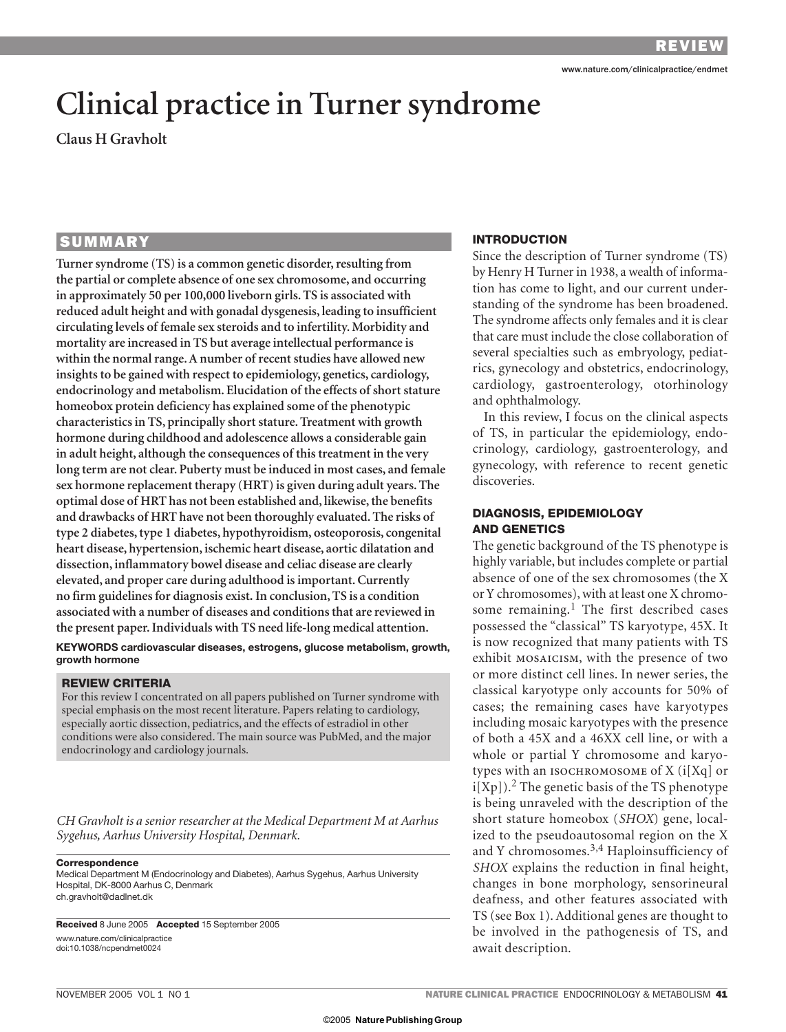# **Clinical practice in Turner syndrome**

**Claus H Gravholt**

# **SUMMARY**

**Turner syndrome (TS) is a common genetic disorder, resulting from the partial or complete absence of one sex chromosome, and occurring in approximately 50 per 100,000 liveborn girls. TS is associated with reduced adult height and with gonadal dysgenesis, leading to insufficient circulating levels of female sex steroids and to infertility. Morbidity and mortality are increased in TS but average intellectual performance is within the normal range. A number of recent studies have allowed new insights to be gained with respect to epidemiology, genetics, cardiology, endocrinology and metabolism. Elucidation of the effects of short stature homeobox protein deficiency has explained some of the phenotypic characteristics in TS, principally short stature. Treatment with growth hormone during childhood and adolescence allows a considerable gain in adult height, although the consequences of this treatment in the very long term are not clear. Puberty must be induced in most cases, and female sex hormone replacement therapy (HRT) is given during adult years. The optimal dose of HRT has not been established and, likewise, the benefits and drawbacks of HRT have not been thoroughly evaluated. The risks of type 2 diabetes, type 1 diabetes, hypothyroidism, osteoporosis, congenital heart disease, hypertension, ischemic heart disease, aortic dilatation and dissection, inflammatory bowel disease and celiac disease are clearly elevated, and proper care during adulthood is important. Currently no firm guidelines for diagnosis exist. In conclusion, TS is a condition associated with a number of diseases and conditions that are reviewed in the present paper. Individuals with TS need life-long medical attention.**

**KEYWORDS cardiovascular diseases, estrogens, glucose metabolism, growth, growth hormone**

#### **REVIEW CRITERIA**

For this review I concentrated on all papers published on Turner syndrome with special emphasis on the most recent literature. Papers relating to cardiology, especially aortic dissection, pediatrics, and the effects of estradiol in other conditions were also considered. The main source was PubMed, and the major endocrinology and cardiology journals.

*CH Gravholt is a senior researcher at the Medical Department M at Aarhus Sygehus, Aarhus University Hospital, Denmark.*

#### **Correspondence**

Medical Department M (Endocrinology and Diabetes), Aarhus Sygehus, Aarhus University Hospital, DK-8000 Aarhus C, Denmark ch.gravholt@dadlnet.dk

**Received** 8 June 2005 **Accepted** 15 September 2005 www.nature.com/clinicalpractice doi:10.1038/ncpendmet0024

## **INTRODUCTION**

Since the description of Turner syndrome (TS) by Henry H Turner in 1938, a wealth of information has come to light, and our current understanding of the syndrome has been broadened. The syndrome affects only females and it is clear that care must include the close collaboration of several specialties such as embryology, pediatrics, gynecology and obstetrics, endocrinology, cardiology, gastroenterology, otorhinology and ophthalmology.

In this review, I focus on the clinical aspects of TS, in particular the epidemiology, endocrinology, cardiology, gastroenterology, and gynecology, with reference to recent genetic discoveries.

## **DIAGNOSIS, EPIDEMIOLOGY AND GENETICS**

The genetic background of the TS phenotype is highly variable, but includes complete or partial absence of one of the sex chromosomes (the X or Y chromosomes), with at least one X chromosome remaining.<sup>1</sup> The first described cases possessed the "classical" TS karyotype, 45X. It is now recognized that many patients with TS exhibit MOSAICISM, with the presence of two or more distinct cell lines. In newer series, the classical karyotype only accounts for 50% of cases; the remaining cases have karyotypes including mosaic karyotypes with the presence of both a 45X and a 46XX cell line, or with a whole or partial Y chromosome and karyotypes with an ISOCHROMOSOME of X (i[Xq] or  $i[Xp]$ ).<sup>2</sup> The genetic basis of the TS phenotype is being unraveled with the description of the short stature homeobox (*SHOX*) gene, localized to the pseudoautosomal region on the X and Y chromosomes.3,4 Haploinsufficiency of *SHOX* explains the reduction in final height, changes in bone morphology, sensorineural deafness, and other features associated with TS (see Box 1). Additional genes are thought to be involved in the pathogenesis of TS, and await description.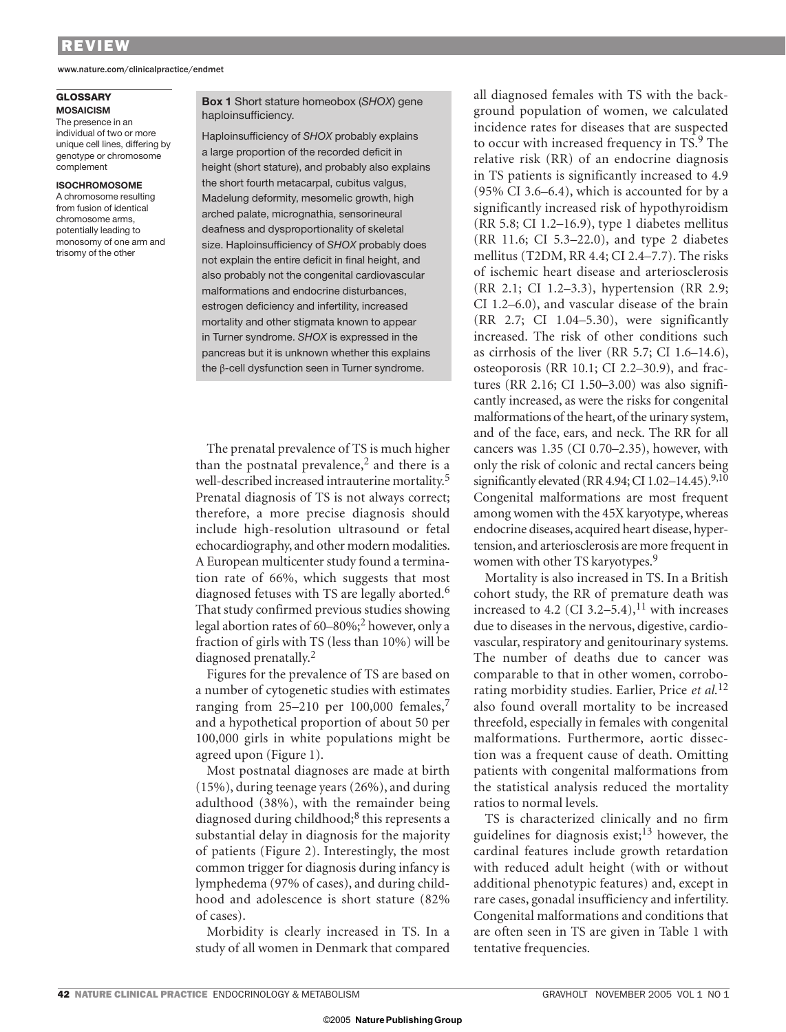www.nature.com/clinicalpractice/endmet

#### **GLOSSARY MOSAICISM**

The presence in an individual of two or more unique cell lines, differing by genotype or chromosome complement

#### **ISOCHROMOSOME**

A chromosome resulting from fusion of identical chromosome arms, potentially leading to monosomy of one arm and trisomy of the other

#### **Box 1** Short stature homeobox (*SHOX*) gene haploinsufficiency.

Haploinsufficiency of *SHOX* probably explains a large proportion of the recorded deficit in height (short stature), and probably also explains the short fourth metacarpal, cubitus valgus, Madelung deformity, mesomelic growth, high arched palate, micrognathia, sensorineural deafness and dysproportionality of skeletal size. Haploinsufficiency of *SHOX* probably does not explain the entire deficit in final height, and also probably not the congenital cardiovascular malformations and endocrine disturbances, estrogen deficiency and infertility, increased mortality and other stigmata known to appear in Turner syndrome. *SHOX* is expressed in the pancreas but it is unknown whether this explains the β-cell dysfunction seen in Turner syndrome.

The prenatal prevalence of TS is much higher than the postnatal prevalence,<sup>2</sup> and there is a well-described increased intrauterine mortality.<sup>5</sup> Prenatal diagnosis of TS is not always correct; therefore, a more precise diagnosis should include high-resolution ultrasound or fetal echocardiography, and other modern modalities. A European multicenter study found a termination rate of 66%, which suggests that most diagnosed fetuses with TS are legally aborted.<sup>6</sup> That study confirmed previous studies showing legal abortion rates of  $60-80\%$ ;<sup>2</sup> however, only a fraction of girls with TS (less than 10%) will be diagnosed prenatally.<sup>2</sup>

Figures for the prevalence of TS are based on a number of cytogenetic studies with estimates ranging from  $25-210$  per 100,000 females,<sup>7</sup> and a hypothetical proportion of about 50 per 100,000 girls in white populations might be agreed upon (Figure 1).

Most postnatal diagnoses are made at birth (15%), during teenage years (26%), and during adulthood (38%), with the remainder being diagnosed during childhood;<sup>8</sup> this represents a substantial delay in diagnosis for the majority of patients (Figure 2). Interestingly, the most common trigger for diagnosis during infancy is lymphedema (97% of cases), and during childhood and adolescence is short stature (82% of cases).

Morbidity is clearly increased in TS. In a study of all women in Denmark that compared

all diagnosed females with TS with the background population of women, we calculated incidence rates for diseases that are suspected to occur with increased frequency in TS.<sup>9</sup> The relative risk (RR) of an endocrine diagnosis in TS patients is significantly increased to 4.9 (95% CI 3.6–6.4), which is accounted for by a significantly increased risk of hypothyroidism (RR 5.8; CI 1.2–16.9), type 1 diabetes mellitus (RR 11.6; CI 5.3–22.0), and type 2 diabetes mellitus (T2DM, RR 4.4; CI 2.4–7.7). The risks of ischemic heart disease and arteriosclerosis (RR 2.1; CI 1.2–3.3), hypertension (RR 2.9; CI 1.2–6.0), and vascular disease of the brain (RR 2.7; CI 1.04–5.30), were significantly increased. The risk of other conditions such as cirrhosis of the liver (RR 5.7; CI 1.6–14.6), osteoporosis (RR 10.1; CI 2.2–30.9), and fractures (RR 2.16; CI 1.50–3.00) was also significantly increased, as were the risks for congenital malformations of the heart, of the urinary system, and of the face, ears, and neck. The RR for all cancers was 1.35 (CI 0.70–2.35), however, with only the risk of colonic and rectal cancers being significantly elevated (RR 4.94; CI 1.02-14.45).<sup>9,10</sup> Congenital malformations are most frequent among women with the 45X karyotype, whereas endocrine diseases, acquired heart disease, hypertension, and arteriosclerosis are more frequent in women with other TS karyotypes.<sup>9</sup>

Mortality is also increased in TS. In a British cohort study, the RR of premature death was increased to 4.2 (CI 3.2–5.4),<sup>11</sup> with increases due to diseases in the nervous, digestive, cardiovascular, respiratory and genitourinary systems. The number of deaths due to cancer was comparable to that in other women, corroborating morbidity studies. Earlier, Price *et al*. 12 also found overall mortality to be increased threefold, especially in females with congenital malformations. Furthermore, aortic dissection was a frequent cause of death. Omitting patients with congenital malformations from the statistical analysis reduced the mortality ratios to normal levels.

TS is characterized clinically and no firm guidelines for diagnosis exist;<sup>13</sup> however, the cardinal features include growth retardation with reduced adult height (with or without additional phenotypic features) and, except in rare cases, gonadal insufficiency and infertility. Congenital malformations and conditions that are often seen in TS are given in Table 1 with tentative frequencies.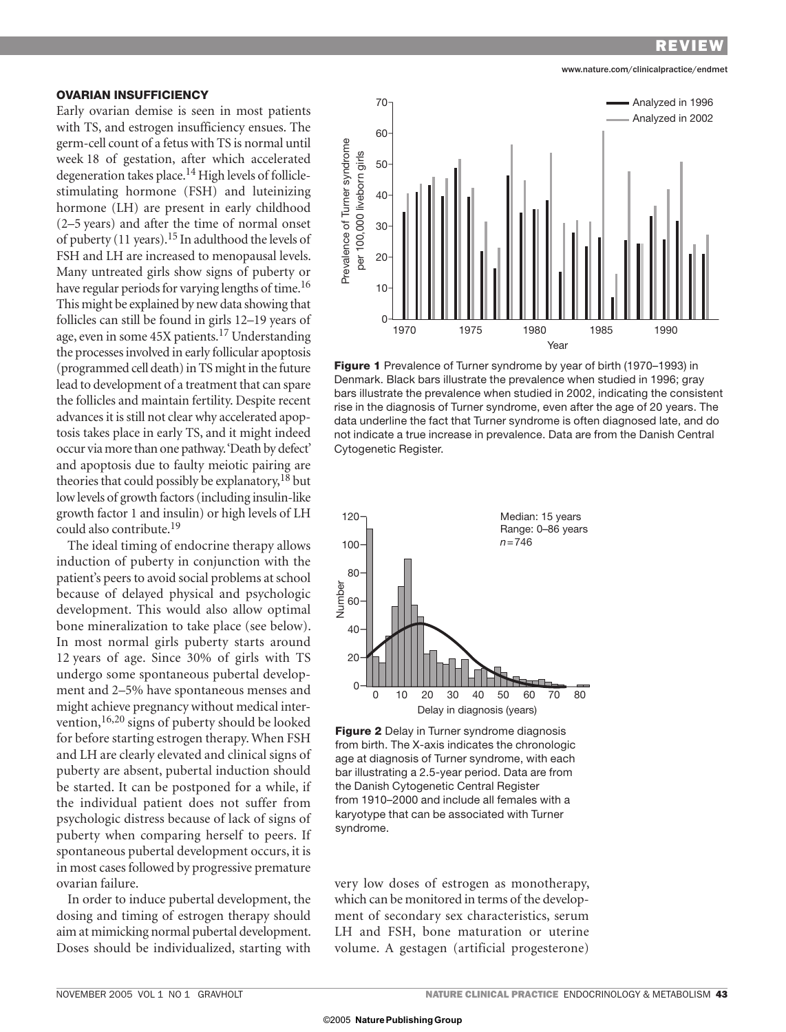www.nature.com/clinicalpractice/endmet

## **OVARIAN INSUFFICIENCY**

Early ovarian demise is seen in most patients with TS, and estrogen insufficiency ensues. The germ-cell count of a fetus with TS is normal until week 18 of gestation, after which accelerated degeneration takes place.<sup>14</sup> High levels of folliclestimulating hormone (FSH) and luteinizing hormone (LH) are present in early childhood (2–5 years) and after the time of normal onset of puberty (11 years).15 In adulthood the levels of FSH and LH are increased to menopausal levels. Many untreated girls show signs of puberty or have regular periods for varying lengths of time.<sup>16</sup> This might be explained by new data showing that follicles can still be found in girls 12–19 years of age, even in some 45X patients.17 Understanding the processes involved in early follicular apoptosis (programmed cell death) in TS might in the future lead to development of a treatment that can spare the follicles and maintain fertility. Despite recent advances it is still not clear why accelerated apoptosis takes place in early TS, and it might indeed occur via more than one pathway. 'Death by defect' and apoptosis due to faulty meiotic pairing are theories that could possibly be explanatory,  $18$  but low levels of growth factors (including insulin-like growth factor 1 and insulin) or high levels of LH could also contribute.19

The ideal timing of endocrine therapy allows induction of puberty in conjunction with the patient's peers to avoid social problems at school because of delayed physical and psychologic development. This would also allow optimal bone mineralization to take place (see below). In most normal girls puberty starts around 12 years of age. Since 30% of girls with TS undergo some spontaneous pubertal development and 2–5% have spontaneous menses and might achieve pregnancy without medical intervention,16,20 signs of puberty should be looked for before starting estrogen therapy. When FSH and LH are clearly elevated and clinical signs of puberty are absent, pubertal induction should be started. It can be postponed for a while, if the individual patient does not suffer from psychologic distress because of lack of signs of puberty when comparing herself to peers. If spontaneous pubertal development occurs, it is in most cases followed by progressive premature ovarian failure.

In order to induce pubertal development, the dosing and timing of estrogen therapy should aim at mimicking normal pubertal development. Doses should be individualized, starting with



**Figure 1** Prevalence of Turner syndrome by year of birth (1970–1993) in Denmark. Black bars illustrate the prevalence when studied in 1996; gray bars illustrate the prevalence when studied in 2002, indicating the consistent rise in the diagnosis of Turner syndrome, even after the age of 20 years. The data underline the fact that Turner syndrome is often diagnosed late, and do not indicate a true increase in prevalence. Data are from the Danish Central Cytogenetic Register.





very low doses of estrogen as monotherapy, which can be monitored in terms of the development of secondary sex characteristics, serum LH and FSH, bone maturation or uterine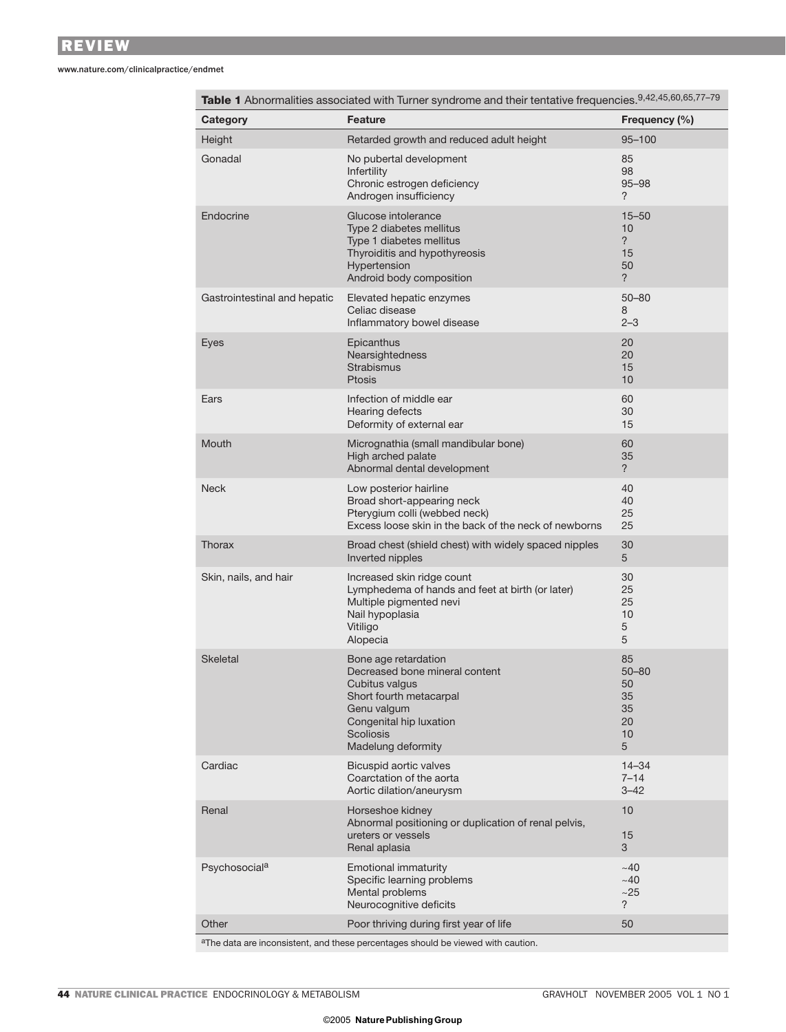www.nature.com/clinicalpractice/endmet

| Retarded growth and reduced adult height<br>95-100<br>Height<br>Gonadal<br>No pubertal development<br>85<br>98<br>Infertility<br>Chronic estrogen deficiency<br>$95 - 98$<br>?<br>Androgen insufficiency<br>Endocrine<br>Glucose intolerance<br>$15 - 50$<br>10<br>Type 2 diabetes mellitus<br>$\overline{?}$<br>Type 1 diabetes mellitus<br>Thyroiditis and hypothyreosis<br>15<br>Hypertension<br>50<br>Android body composition<br>?<br>Gastrointestinal and hepatic<br>Elevated hepatic enzymes<br>$50 - 80$<br>Celiac disease<br>8<br>$2 - 3$<br>Inflammatory bowel disease<br>Eyes<br>Epicanthus<br>20<br>20<br>Nearsightedness<br>Strabismus<br>15<br><b>Ptosis</b><br>10<br>Infection of middle ear<br>Ears<br>60<br>30<br>Hearing defects<br>15<br>Deformity of external ear<br>Mouth<br>Micrognathia (small mandibular bone)<br>60<br>High arched palate<br>35<br>?<br>Abnormal dental development<br><b>Neck</b><br>Low posterior hairline<br>40<br>Broad short-appearing neck<br>40<br>25<br>Pterygium colli (webbed neck)<br>Excess loose skin in the back of the neck of newborns<br>25<br>Thorax<br>30<br>Broad chest (shield chest) with widely spaced nipples<br>Inverted nipples<br>5<br>Skin, nails, and hair<br>Increased skin ridge count<br>30<br>Lymphedema of hands and feet at birth (or later)<br>25<br>25<br>Multiple pigmented nevi<br>10<br>Nail hypoplasia | Frequency (%) |
|------------------------------------------------------------------------------------------------------------------------------------------------------------------------------------------------------------------------------------------------------------------------------------------------------------------------------------------------------------------------------------------------------------------------------------------------------------------------------------------------------------------------------------------------------------------------------------------------------------------------------------------------------------------------------------------------------------------------------------------------------------------------------------------------------------------------------------------------------------------------------------------------------------------------------------------------------------------------------------------------------------------------------------------------------------------------------------------------------------------------------------------------------------------------------------------------------------------------------------------------------------------------------------------------------------------------------------------------------------------------------------------|---------------|
|                                                                                                                                                                                                                                                                                                                                                                                                                                                                                                                                                                                                                                                                                                                                                                                                                                                                                                                                                                                                                                                                                                                                                                                                                                                                                                                                                                                          |               |
|                                                                                                                                                                                                                                                                                                                                                                                                                                                                                                                                                                                                                                                                                                                                                                                                                                                                                                                                                                                                                                                                                                                                                                                                                                                                                                                                                                                          |               |
|                                                                                                                                                                                                                                                                                                                                                                                                                                                                                                                                                                                                                                                                                                                                                                                                                                                                                                                                                                                                                                                                                                                                                                                                                                                                                                                                                                                          |               |
|                                                                                                                                                                                                                                                                                                                                                                                                                                                                                                                                                                                                                                                                                                                                                                                                                                                                                                                                                                                                                                                                                                                                                                                                                                                                                                                                                                                          |               |
|                                                                                                                                                                                                                                                                                                                                                                                                                                                                                                                                                                                                                                                                                                                                                                                                                                                                                                                                                                                                                                                                                                                                                                                                                                                                                                                                                                                          |               |
|                                                                                                                                                                                                                                                                                                                                                                                                                                                                                                                                                                                                                                                                                                                                                                                                                                                                                                                                                                                                                                                                                                                                                                                                                                                                                                                                                                                          |               |
|                                                                                                                                                                                                                                                                                                                                                                                                                                                                                                                                                                                                                                                                                                                                                                                                                                                                                                                                                                                                                                                                                                                                                                                                                                                                                                                                                                                          |               |
|                                                                                                                                                                                                                                                                                                                                                                                                                                                                                                                                                                                                                                                                                                                                                                                                                                                                                                                                                                                                                                                                                                                                                                                                                                                                                                                                                                                          |               |
|                                                                                                                                                                                                                                                                                                                                                                                                                                                                                                                                                                                                                                                                                                                                                                                                                                                                                                                                                                                                                                                                                                                                                                                                                                                                                                                                                                                          |               |
| 5<br>Vitiligo<br>5<br>Alopecia                                                                                                                                                                                                                                                                                                                                                                                                                                                                                                                                                                                                                                                                                                                                                                                                                                                                                                                                                                                                                                                                                                                                                                                                                                                                                                                                                           |               |
| <b>Skeletal</b><br>Bone age retardation<br>85<br>Decreased bone mineral content<br>$50 - 80$<br>50<br>Cubitus valgus<br>Short fourth metacarpal<br>35<br>35<br>Genu valgum<br>Congenital hip luxation<br>20<br>10<br>Scoliosis<br>Madelung deformity<br>5                                                                                                                                                                                                                                                                                                                                                                                                                                                                                                                                                                                                                                                                                                                                                                                                                                                                                                                                                                                                                                                                                                                                |               |
| Cardiac<br>Bicuspid aortic valves<br>$14 - 34$<br>$7 - 14$<br>Coarctation of the aorta<br>Aortic dilation/aneurysm<br>$3 - 42$                                                                                                                                                                                                                                                                                                                                                                                                                                                                                                                                                                                                                                                                                                                                                                                                                                                                                                                                                                                                                                                                                                                                                                                                                                                           |               |
| Renal<br>Horseshoe kidney<br>10<br>Abnormal positioning or duplication of renal pelvis,<br>15<br>ureters or vessels<br>Renal aplasia<br>3                                                                                                                                                                                                                                                                                                                                                                                                                                                                                                                                                                                                                                                                                                                                                                                                                                                                                                                                                                                                                                                                                                                                                                                                                                                |               |
| Psychosocial <sup>a</sup><br><b>Emotional immaturity</b><br>~140<br>Specific learning problems<br>~140<br>Mental problems<br>~25<br>Neurocognitive deficits<br>?                                                                                                                                                                                                                                                                                                                                                                                                                                                                                                                                                                                                                                                                                                                                                                                                                                                                                                                                                                                                                                                                                                                                                                                                                         |               |
| Other<br>Poor thriving during first year of life<br>50                                                                                                                                                                                                                                                                                                                                                                                                                                                                                                                                                                                                                                                                                                                                                                                                                                                                                                                                                                                                                                                                                                                                                                                                                                                                                                                                   |               |

aThe data are inconsistent, and these percentages should be viewed with caution.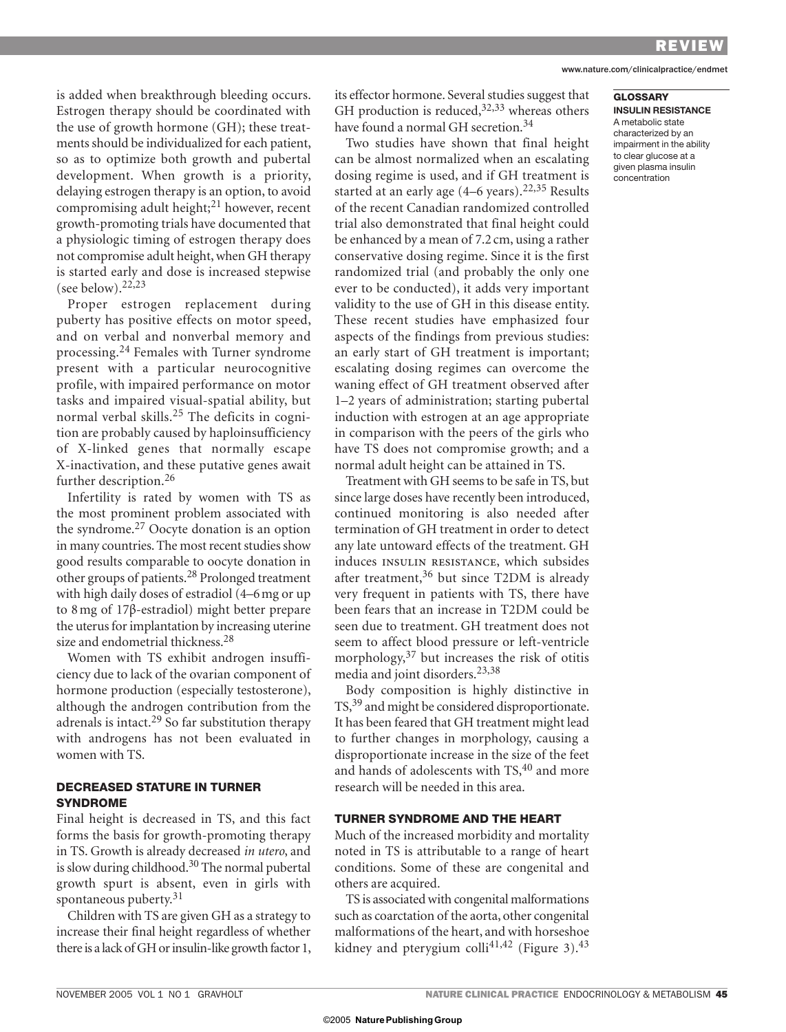#### www.nature.com/clinicalpractice/endmet

**GLOSSARY INSULIN RESISTANCE** A metabolic state characterized by an impairment in the ability to clear glucose at a given plasma insulin concentration

is added when breakthrough bleeding occurs. Estrogen therapy should be coordinated with the use of growth hormone (GH); these treatments should be individualized for each patient, so as to optimize both growth and pubertal development. When growth is a priority, delaying estrogen therapy is an option, to avoid compromising adult height; $^{21}$  however, recent growth-promoting trials have documented that a physiologic timing of estrogen therapy does not compromise adult height, when GH therapy is started early and dose is increased stepwise (see below).  $22,23$ 

Proper estrogen replacement during puberty has positive effects on motor speed, and on verbal and nonverbal memory and processing.24 Females with Turner syndrome present with a particular neurocognitive profile, with impaired performance on motor tasks and impaired visual-spatial ability, but normal verbal skills.25 The deficits in cognition are probably caused by haploinsufficiency of X-linked genes that normally escape X-in activation, and these putative genes await further description.<sup>26</sup>

Infertility is rated by women with TS as the most prominent problem associated with the syndrome.27 Oocyte donation is an option in many countries. The most recent studies show good results comparable to oocyte donation in other groups of patients.28 Prolonged treatment with high daily doses of estradiol (4–6 mg or up to 8 mg of 17β-estradiol) might better prepare the uterus for implantation by increasing uterine size and endometrial thickness.28

Women with TS exhibit androgen insufficiency due to lack of the ovarian component of hormone production (especially testosterone), although the androgen contribution from the adrenals is intact.<sup>29</sup> So far substitution therapy with androgens has not been evaluated in women with TS.

## **DECREASED STATURE IN TURNER SYNDROME**

Final height is decreased in TS, and this fact forms the basis for growth-promoting therapy in TS. Growth is already decreased *in utero*, and is slow during childhood.<sup>30</sup> The normal pubertal growth spurt is absent, even in girls with spontaneous puberty.<sup>31</sup>

Children with TS are given GH as a strategy to increase their final height regardless of whether there is a lack of GH or insulin-like growth factor 1, its effector hormone. Several studies suggest that GH production is reduced,  $32,33$  whereas others have found a normal GH secretion.<sup>34</sup>

Two studies have shown that final height can be almost normalized when an escalating dosing regime is used, and if GH treatment is started at an early age (4–6 years).<sup>22,35</sup> Results of the recent Canadian randomized controlled trial also demonstrated that final height could be enhanced by a mean of 7.2 cm, using a rather conservative dosing regime. Since it is the first randomized trial (and probably the only one ever to be conducted), it adds very important validity to the use of GH in this disease entity. These recent studies have emphasized four aspects of the findings from previous studies: an early start of GH treatment is important; es calating dosing regimes can overcome the waning effect of GH treatment observed after 1–2 years of administration; starting pubertal induction with estrogen at an age appropriate in comparison with the peers of the girls who have TS does not compromise growth; and a normal adult height can be attained in TS.

Treatment with GH seems to be safe in TS, but since large doses have recently been introduced, continued monitoring is also needed after termination of GH treatment in order to detect any late untoward effects of the treatment. GH induces insulin resistance, which subsides after treatment,<sup>36</sup> but since T2DM is already very frequent in patients with TS, there have been fears that an increase in T2DM could be seen due to treatment. GH treatment does not seem to affect blood pressure or left-ventricle morphology, $37$  but increases the risk of otitis media and joint disorders.23,38

Body composition is highly distinctive in TS,<sup>39</sup> and might be considered disproportionate. It has been feared that GH treatment might lead to further changes in morphology, causing a disproportionate increase in the size of the feet and hands of adolescents with TS,<sup>40</sup> and more research will be needed in this area.

#### **TURNER SYNDROME AND THE HEART**

Much of the increased morbidity and mortality noted in TS is attributable to a range of heart conditions. Some of these are congenital and others are acquired.

TS is associated with congenital malformations such as coarctation of the aorta, other congenital malformations of the heart, and with horseshoe kidney and pterygium colli<sup>41,42</sup> (Figure 3).<sup>43</sup>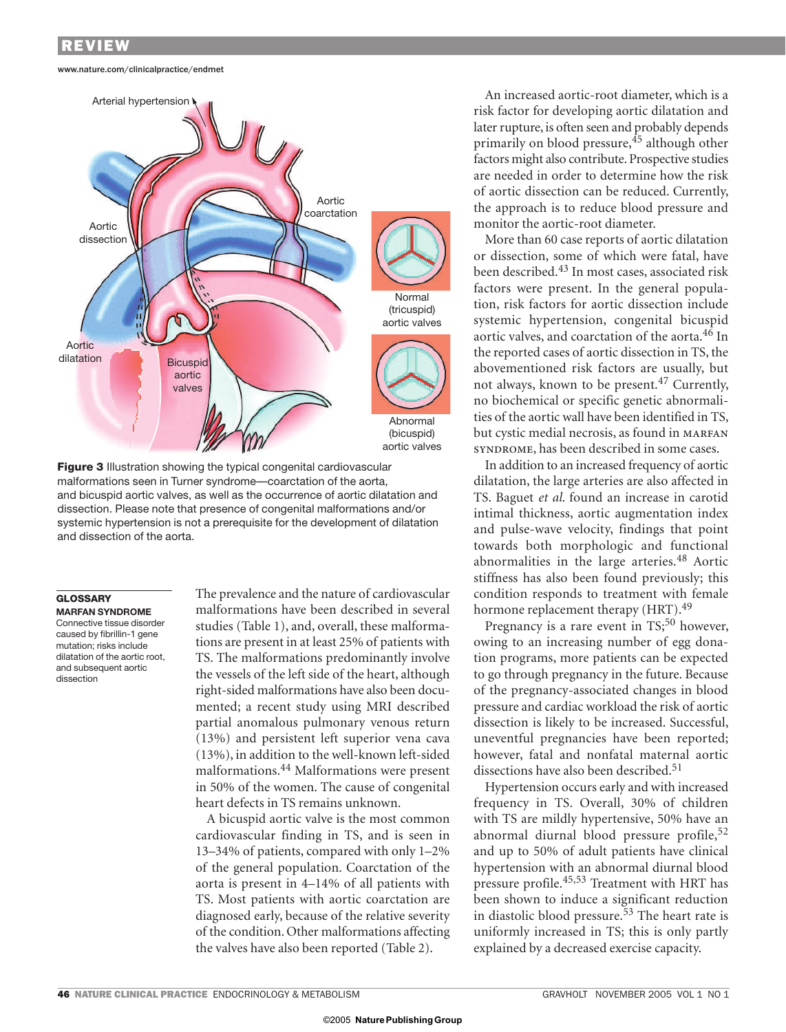#### www.nature.com/clinicalpractice/endmet



**Figure 3** Illustration showing the typical congenital cardiovascular malformations seen in Turner syndrome—coarctation of the aorta, and bicuspid aortic valves, as well as the occurrence of aortic dilatation and dissection. Please note that presence of congenital malformations and/or systemic hypertension is not a prerequisite for the development of dilatation and dissection of the aorta.

## **GLOSSARY**

**MARFAN SYNDROME** Connective tissue disorder caused by fibrillin-1 gene mutation; risks include dilatation of the aortic root, and subsequent aortic dissection

The prevalence and the nature of cardiovascular malformations have been described in several studies (Table 1), and, overall, these malformations are present in at least 25% of patients with TS. The malformations predominantly involve the vessels of the left side of the heart, although right-sided malformations have also been documented; a recent study using MRI described partial anomalous pulmonary venous return (13%) and persistent left superior vena cava (13%), in addition to the well-known left-sided malformations.44 Malformations were present in 50% of the women. The cause of congenital heart defects in TS remains unknown.

A bicuspid aortic valve is the most common cardiovascular finding in TS, and is seen in 13–34% of patients, compared with only 1–2% of the general population. Coarctation of the aorta is present in 4–14% of all patients with TS. Most patients with aortic coarctation are diagnosed early, because of the relative severity of the condition. Other malformations affecting the valves have also been reported (Table 2).

An increased aortic-root diameter, which is a risk factor for developing aortic dilatation and later rupture, is often seen and probably depends primarily on blood pressure,  $45$  although other factors might also contribute. Prospective studies are needed in order to determine how the risk of aortic dissection can be reduced. Currently, the approach is to reduce blood pressure and monitor the aortic-root diameter.

More than 60 case reports of aortic dilatation or dissection, some of which were fatal, have been described.43 In most cases, associated risk factors were present. In the general population, risk factors for aortic dissection include systemic hypertension, congenital bicuspid aortic valves, and coarctation of the aorta.46 In the reported cases of aortic dissection in TS, the above mentioned risk factors are usually, but not always, known to be present.47 Currently, no biochemical or specific genetic abnormalities of the aortic wall have been identified in TS, but cystic medial necrosis, as found in MARFAN syndrome, has been described in some cases.

In addition to an increased frequency of aortic dilatation, the large arteries are also affected in TS. Baguet *et al*. found an increase in carotid intimal thickness, aortic augmentation index and pulse-wave velocity, findings that point towards both morphologic and functional abnormalities in the large arteries.<sup>48</sup> Aortic stiffness has also been found previously; this condition responds to treatment with female hormone replacement therapy (HRT).<sup>49</sup>

Pregnancy is a rare event in  $TS<sub>i</sub>$ <sup>50</sup> however, owing to an increasing number of egg donation programs, more patients can be expected to go through pregnancy in the future. Because of the pregnancy-associated changes in blood pressure and cardiac workload the risk of aortic dissection is likely to be increased. Successful, uneventful pregnancies have been reported; however, fatal and nonfatal maternal aortic dissections have also been described.<sup>51</sup>

Hypertension occurs early and with increased frequency in TS. Overall, 30% of children with TS are mildly hypertensive, 50% have an abnormal diurnal blood pressure profile,<sup>52</sup> and up to 50% of adult patients have clinical hypertension with an abnormal diurnal blood pressure profile.45,53 Treatment with HRT has been shown to induce a significant reduction in diastolic blood pressure.<sup>53</sup> The heart rate is uniformly increased in TS; this is only partly explained by a decreased exercise capacity.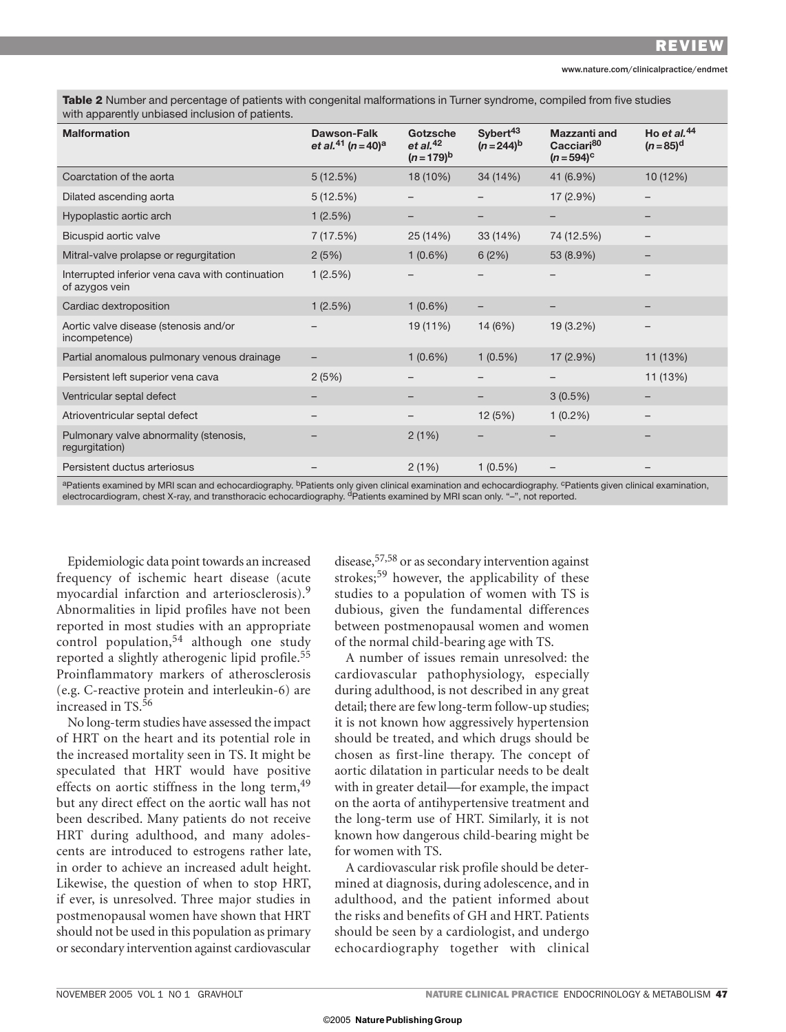**Table 2** Number and percentage of patients with congenital malformations in Turner syndrome, compiled from five studies with apparently unbiased inclusion of patients.

| <b>Malformation</b>                                                | Dawson-Falk<br>et al. <sup>41</sup> (n = 40) <sup>a</sup> | Gotzsche<br>et al. $42$<br>$(n=179)^{b}$ | Sybert <sup>43</sup><br>$(n=244)^{b}$ | <b>Mazzanti and</b><br>Cacciari <sup>80</sup><br>$(n = 594)^c$ | Ho et al. $44$<br>$(n=85)^d$ |
|--------------------------------------------------------------------|-----------------------------------------------------------|------------------------------------------|---------------------------------------|----------------------------------------------------------------|------------------------------|
| Coarctation of the aorta                                           | 5(12.5%)                                                  | 18 (10%)                                 | 34 (14%)                              | 41 (6.9%)                                                      | 10 (12%)                     |
| Dilated ascending aorta                                            | 5(12.5%)                                                  |                                          |                                       | 17 (2.9%)                                                      |                              |
| Hypoplastic aortic arch                                            | 1(2.5%)                                                   |                                          |                                       |                                                                |                              |
| Bicuspid aortic valve                                              | 7 (17.5%)                                                 | 25 (14%)                                 | 33 (14%)                              | 74 (12.5%)                                                     |                              |
| Mitral-valve prolapse or regurgitation                             | 2(5%)                                                     | $1(0.6\%)$                               | 6(2%)                                 | 53 (8.9%)                                                      |                              |
| Interrupted inferior vena cava with continuation<br>of azygos vein | 1(2.5%)                                                   |                                          |                                       | -                                                              |                              |
| Cardiac dextroposition                                             | 1(2.5%)                                                   | $1(0.6\%)$                               |                                       |                                                                |                              |
| Aortic valve disease (stenosis and/or<br>incompetence)             |                                                           | 19 (11%)                                 | 14 (6%)                               | 19 (3.2%)                                                      |                              |
| Partial anomalous pulmonary venous drainage                        |                                                           | $1(0.6\%)$                               | $1(0.5\%)$                            | 17(2.9%)                                                       | 11 (13%)                     |
| Persistent left superior vena cava                                 | 2(5%)                                                     |                                          |                                       |                                                                | 11 (13%)                     |
| Ventricular septal defect                                          |                                                           |                                          |                                       | $3(0.5\%)$                                                     |                              |
| Atrioventricular septal defect                                     |                                                           |                                          | 12(5%)                                | $1(0.2\%)$                                                     |                              |
| Pulmonary valve abnormality (stenosis,<br>regurgitation)           |                                                           | 2(1%)                                    |                                       |                                                                |                              |
| Persistent ductus arteriosus                                       |                                                           | 2(1%)                                    | $1(0.5\%)$                            |                                                                |                              |

<sup>a</sup>Patients examined by MRI scan and echocardiography. <sup>b</sup>Patients only given clinical examination and echocardiography. <sup>c</sup>Patients given clinical examination, electrocardiogram, chest X-ray, and transthoracic echocardiography. <sup>d</sup>Patients examined by MRI scan only. "–", not reported.

Epidemiologic data point towards an increased frequency of ischemic heart disease (acute myocardial infarction and arteriosclerosis).<sup>9</sup> Abnormalities in lipid profiles have not been reported in most studies with an appropriate control population,<sup>54</sup> although one study reported a slightly atherogenic lipid profile.<sup>55</sup> Proinflammatory markers of atherosclerosis (e.g. C-reactive protein and interleukin-6) are increased in TS.<sup>56</sup>

No long-term studies have assessed the impact of HRT on the heart and its potential role in the increased mortality seen in TS. It might be speculated that HRT would have positive effects on aortic stiffness in the long term, <sup>49</sup> but any direct effect on the aortic wall has not been described. Many patients do not receive HRT during adulthood, and many adolescents are introduced to estrogens rather late, in order to achieve an increased adult height. Likewise, the question of when to stop HRT, if ever, is unresolved. Three major studies in postmenopausal women have shown that HRT should not be used in this population as primary or secondary intervention against cardiovascular disease,57,58 or as secondary intervention against strokes;59 however, the applicability of these studies to a population of women with TS is dubious, given the fundamental differences between postmenopausal women and women of the normal child-bearing age with TS.

A number of issues remain unresolved: the cardiovascular pathophysiology, especially during adulthood, is not described in any great detail; there are few long-term follow-up studies; it is not known how aggressively hypertension should be treated, and which drugs should be chosen as first-line therapy. The concept of aortic dilatation in particular needs to be dealt with in greater detail—for example, the impact on the aorta of antihypertensive treatment and the long-term use of HRT. Similarly, it is not known how dangerous child-bearing might be for women with TS.

A cardiovascular risk profile should be determined at diagnosis, during adolescence, and in adulthood, and the patient informed about the risks and benefits of GH and HRT. Patients should be seen by a cardiologist, and undergo echocardiography together with clinical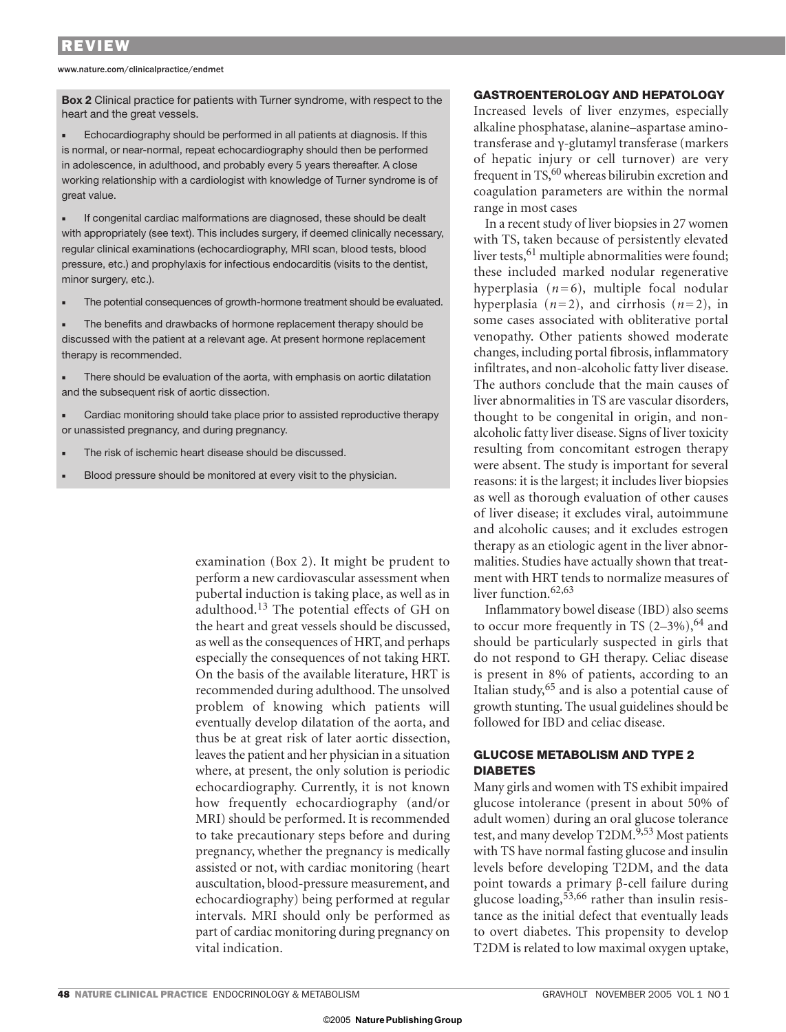www.nature.com/clinicalpractice/endmet

**Box 2** Clinical practice for patients with Turner syndrome, with respect to the heart and the great vessels.

Echocardiography should be performed in all patients at diagnosis. If this is normal, or near-normal, repeat echocardiography should then be performed in adolescence, in adulthood, and probably every 5 years thereafter. A close working relationship with a cardiologist with knowledge of Turner syndrome is of great value.

If congenital cardiac malformations are diagnosed, these should be dealt with appropriately (see text). This includes surgery, if deemed clinically necessary, regular clinical examinations (echocardiography, MRI scan, blood tests, blood pressure, etc.) and prophylaxis for infectious endocarditis (visits to the dentist, minor surgery, etc.).

The potential consequences of growth-hormone treatment should be evaluated.

The benefits and drawbacks of hormone replacement therapy should be discussed with the patient at a relevant age. At present hormone replacement therapy is recommended.

There should be evaluation of the aorta, with emphasis on aortic dilatation and the subsequent risk of aortic dissection.

Cardiac monitoring should take place prior to assisted reproductive therapy or unassisted pregnancy, and during pregnancy.

The risk of ischemic heart disease should be discussed.

Blood pressure should be monitored at every visit to the physician.

examination (Box 2). It might be prudent to perform a new cardiovascular assessment when pubertal induction is taking place, as well as in adulthood.13 The potential effects of GH on the heart and great vessels should be discussed, as well as the consequences of HRT, and perhaps especially the consequences of not taking HRT. On the basis of the available literature, HRT is recommended during adulthood. The unsolved problem of knowing which patients will eventually develop dilatation of the aorta, and thus be at great risk of later aortic dissection, leaves the patient and her physician in a situation where, at present, the only solution is periodic echocardiography. Currently, it is not known how frequently echocardiography (and/or MRI) should be performed. It is recommended to take precautionary steps before and during pregnancy, whether the pregnancy is medically assisted or not, with cardiac monitoring (heart auscultation, blood-pressure measurement, and echocardiography) being performed at regular intervals. MRI should only be performed as part of cardiac monitoring during pregnancy on vital indication.

## **GASTROENTEROLOGY AND HEPATOLOGY**

Increased levels of liver enzymes, especially alkaline phosphatase, alanine–aspartase aminotransferase and γ-glutamyl transferase (markers of hepatic injury or cell turnover) are very frequent in  $TS<sub>0</sub><sup>60</sup>$  whereas bilirubin excretion and co agulation parameters are within the normal range in most cases

In a recent study of liver biopsies in 27 women with TS, taken because of persistently elevated liver tests,  $61$  multiple abnormalities were found; these included marked nodular regenerative hyperplasia  $(n=6)$ , multiple focal nodular hyperplasia  $(n=2)$ , and cirrhosis  $(n=2)$ , in some cases associated with obliterative portal venopathy. Other patients showed moderate changes, including portal fibrosis, inflammatory infiltrates, and non-alcoholic fatty liver disease. The authors conclude that the main causes of liver abnormalities in TS are vascular disorders, thought to be congenital in origin, and nonalcoholic fatty liver disease. Signs of liver toxicity resulting from concomitant estrogen therapy were absent. The study is important for several reasons: it is the largest; it includes liver biopsies as well as thorough evaluation of other causes of liver disease; it excludes viral, autoimmune and alcoholic causes; and it excludes estrogen therapy as an etiologic agent in the liver abnormalities. Studies have actually shown that treatment with HRT tends to normalize measures of liver function.<sup>62,63</sup>

Inflammatory bowel disease (IBD) also seems to occur more frequently in TS  $(2-3\%)$ , <sup>64</sup> and should be particularly suspected in girls that do not respond to GH therapy. Celiac disease is present in 8% of patients, according to an Italian study,  $65$  and is also a potential cause of growth stunting. The usual guidelines should be followed for IBD and celiac disease.

## **GLUCOSE METABOLISM AND TYPE 2 DIABETES**

Many girls and women with TS exhibit impaired glucose intolerance (present in about 50% of adult women) during an oral glucose tolerance test, and many develop T2DM.<sup>9,53</sup> Most patients with TS have normal fasting glucose and insulin levels before developing T2DM, and the data point towards a primary β-cell failure during glucose loading,  $53,66$  rather than insulin resistance as the initial defect that eventually leads to overt diabetes. This propensity to develop T2DM is related to low maximal oxygen uptake,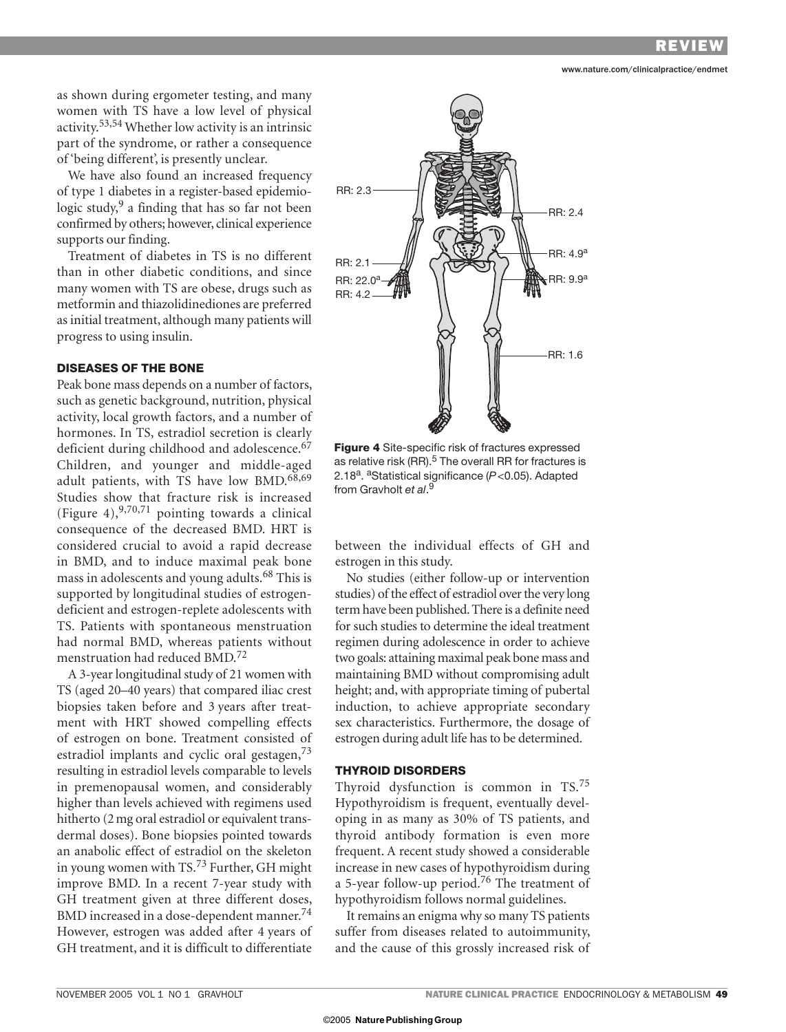www.nature.com/clinicalpractice/endmet

as shown during ergometer testing, and many women with TS have a low level of physical activity.53,54 Whether low activity is an intrinsic part of the syndrome, or rather a consequence of 'being different', is presently unclear.

We have also found an increased frequency of type 1 diabetes in a register-based epidemiologic study, $9$  a finding that has so far not been confirmed by others; however, clinical experience supports our finding.

Treatment of diabetes in TS is no different than in other diabetic conditions, and since many women with TS are obese, drugs such as metformin and thiazolidinediones are preferred as initial treatment, although many patients will progress to using insulin.

## **DISEASES OF THE BONE**

Peak bone mass depends on a number of factors, such as genetic background, nutrition, physical activity, local growth factors, and a number of hormones. In TS, estradiol secretion is clearly deficient during childhood and adolescence.<sup>67</sup> Children, and younger and middle-aged adult patients, with TS have low BMD.<sup>68,69</sup> Studies show that fracture risk is increased (Figure 4),  $9,70,71$  pointing towards a clinical consequence of the decreased BMD. HRT is considered crucial to avoid a rapid decrease in BMD, and to induce maximal peak bone mass in adolescents and young adults.68 This is supported by longitudinal studies of estrogendeficient and estrogen-replete adolescents with TS. Patients with spontaneous menstruation had normal BMD, whereas patients without menstruation had reduced BMD.<sup>72</sup>

A 3-year longitudinal study of 21 women with TS (aged 20–40 years) that compared iliac crest biopsies taken before and 3 years after treatment with HRT showed compelling effects of estrogen on bone. Treatment consisted of estradiol implants and cyclic oral gestagen,<sup>73</sup> resulting in estradiol levels comparable to levels in premenopausal women, and considerably higher than levels achieved with regimens used hitherto (2 mg oral estradiol or equivalent transdermal doses). Bone biopsies pointed towards an anabolic effect of estradiol on the skeleton in young women with TS.73 Further, GH might improve BMD. In a recent 7-year study with GH treatment given at three different doses, BMD increased in a dose-dependent manner.<sup>74</sup> However, estrogen was added after 4 years of GH treatment, and it is difficult to differentiate



**Figure 4** Site-specific risk of fractures expressed as relative risk (RR). $5$  The overall RR for fractures is 2.18a. aStatistical significance (*P* <0.05). Adapted from Gravholt *et al*. 9

between the individual effects of GH and estrogen in this study.

No studies (either follow-up or intervention studies) of the effect of estradiol over the very long term have been published. There is a definite need for such studies to determine the ideal treatment regimen during adolescence in order to achieve two goals: attaining maximal peak bone mass and maintaining BMD without compromising adult height; and, with appropriate timing of pubertal induction, to achieve appropriate secondary sex characteristics. Furthermore, the dosage of estrogen during adult life has to be determined.

#### **THYROID DISORDERS**

Thyroid dysfunction is common in TS.<sup>75</sup> Hypothyroidism is frequent, eventually developing in as many as 30% of TS patients, and thyroid antibody formation is even more frequent. A recent study showed a considerable increase in new cases of hypothyroidism during a 5-year follow-up period.76 The treatment of hypothyroidism follows normal guidelines.

It remains an enigma why so many TS patients suffer from diseases related to autoimmunity, and the cause of this grossly increased risk of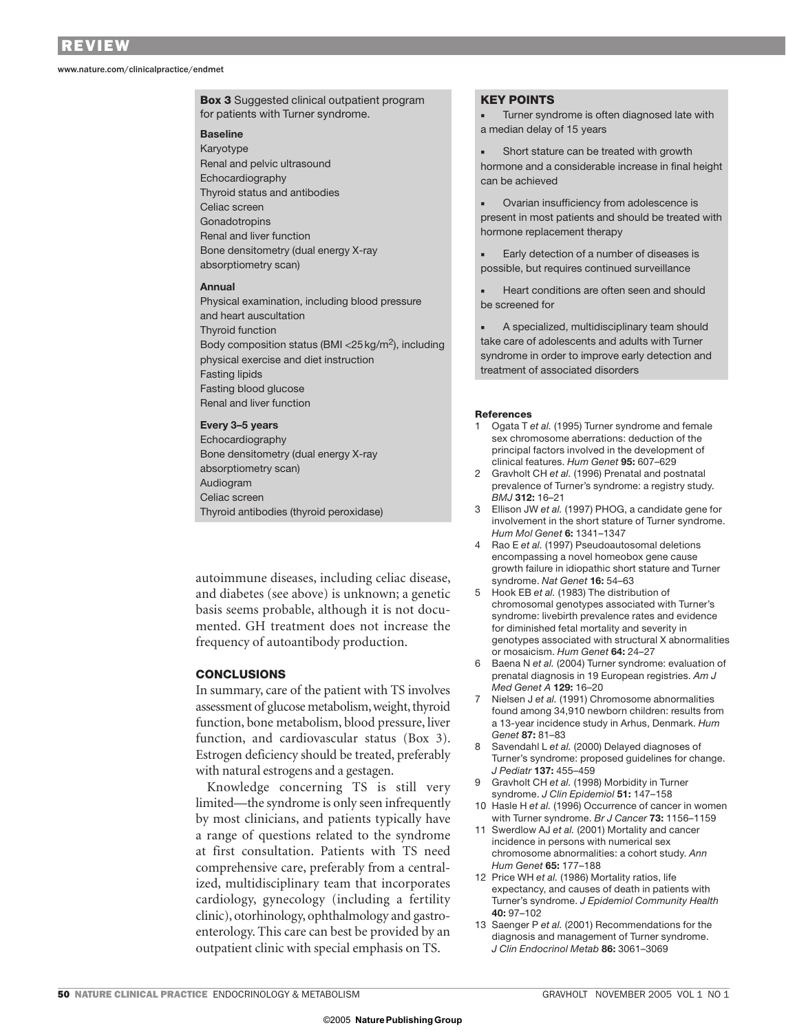www.nature.com/clinicalpractice/endmet

**Box 3** Suggested clinical outpatient program for patients with Turner syndrome.

## **Baseline**

Karyotype Renal and pelvic ultrasound Echocardiography Thyroid status and antibodies Celiac screen **Gonadotropins** Renal and liver function Bone densitometry (dual energy X-ray absorptiometry scan)

#### **Annual**

Physical examination, including blood pressure and heart auscultation Thyroid function Body composition status (BMI  $<$  25 kg/m<sup>2</sup>), including physical exercise and diet instruction Fasting lipids Fasting blood glucose Renal and liver function

#### **Every 3–5 years**

Echocardiography Bone densitometry (dual energy X-ray absorptiometry scan) Audiogram Celiac screen Thyroid antibodies (thyroid peroxidase)

autoimmune diseases, including celiac disease, and diabetes (see above) is unknown; a genetic basis seems probable, although it is not documented. GH treatment does not increase the frequency of autoantibody production.

## **CONCLUSIONS**

In summary, care of the patient with TS involves assessment of glucose metabolism, weight, thyroid function, bone metabolism, blood pressure, liver function, and cardiovascular status (Box 3). Estrogen deficiency should be treated, preferably with natural estrogens and a gestagen.

Knowledge concerning TS is still very limited—the syndrome is only seen infrequently by most clinicians, and patients typically have a range of questions related to the syndrome at first consultation. Patients with TS need comprehensive care, preferably from a centralized, multidisciplinary team that incorporates cardiology, gynecology (including a fertility clinic), otorhinology, ophthalmology and gastroenterology. This care can best be provided by an outpatient clinic with special emphasis on TS.

#### **KEY POINTS**

Turner syndrome is often diagnosed late with a median delay of 15 years

Short stature can be treated with growth hormone and a considerable increase in final height can be achieved

Ovarian insufficiency from adolescence is present in most patients and should be treated with hormone replacement therapy

Early detection of a number of diseases is possible, but requires continued surveillance

Heart conditions are often seen and should be screened for

A specialized, multidisciplinary team should take care of adolescents and adults with Turner syndrome in order to improve early detection and treatment of associated disorders

#### **References**

- 1 Ogata T *et al.* (1995) Turner syndrome and female sex chromosome aberrations: deduction of the principal factors involved in the development of clinical features. *Hum Genet* **95:** 607–629
- 2 Gravholt CH *et al.* (1996) Prenatal and postnatal prevalence of Turner's syndrome: a registry study. *BMJ* **312:** 16–21
- 3 Ellison JW *et al.* (1997) PHOG, a candidate gene for involvement in the short stature of Turner syndrome. *Hum Mol Genet* **6:** 1341–1347
- 4 Rao E *et al.* (1997) Pseudoautosomal deletions encompassing a novel homeobox gene cause growth failure in idiopathic short stature and Turner syndrome. *Nat Genet* **16:** 54–63
- 5 Hook EB *et al.* (1983) The distribution of chromosomal genotypes associated with Turner's syndrome: livebirth prevalence rates and evidence for diminished fetal mortality and severity in genotypes associated with structural X abnormalities or mosaicism. *Hum Genet* **64:** 24–27
- 6 Baena N *et al.* (2004) Turner syndrome: evaluation of prenatal diagnosis in 19 European registries. *Am J Med Genet A* **129:** 16–20
- 7 Nielsen J *et al.* (1991) Chromosome abnormalities found among 34,910 newborn children: results from a 13-year incidence study in Arhus, Denmark. *Hum Genet* **87:** 81–83
- 8 Savendahl L *et al.* (2000) Delayed diagnoses of Turner's syndrome: proposed guidelines for change. *J Pediatr* **137:** 455–459
- 9 Gravholt CH *et al.* (1998) Morbidity in Turner syndrome. *J Clin Epidemiol* **51:** 147–158
- 10 Hasle H *et al.* (1996) Occurrence of cancer in women with Turner syndrome. *Br J Cancer* **73:** 1156–1159
- 11 Swerdlow AJ *et al.* (2001) Mortality and cancer incidence in persons with numerical sex chromosome abnormalities: a cohort study. *Ann Hum Genet* **65:** 177–188
- 12 Price WH *et al.* (1986) Mortality ratios, life expectancy, and causes of death in patients with Turner's syndrome. *J Epidemiol Community Health* **40:** 97–102
- 13 Saenger P *et al.* (2001) Recommendations for the diagnosis and management of Turner syndrome. *J Clin Endocrinol Metab* **86:** 3061–3069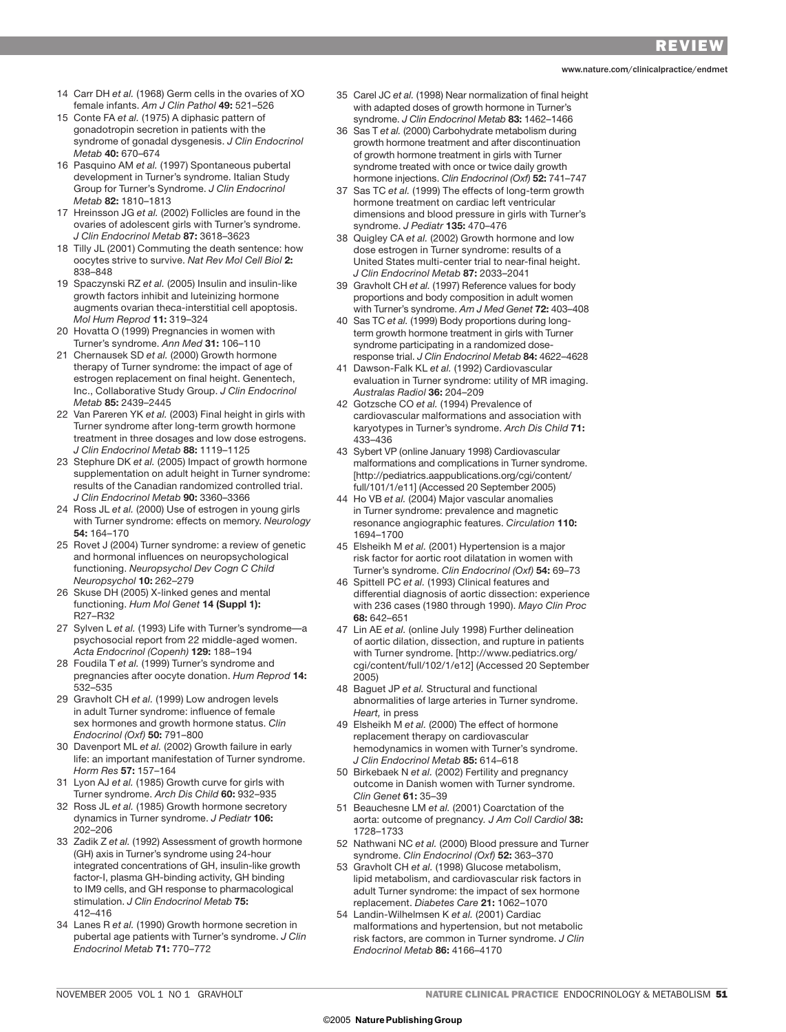www.nature.com/clinicalpractice/endmet

- 14 Carr DH *et al.* (1968) Germ cells in the ovaries of XO female infants. *Am J Clin Pathol* **49:** 521–526
- 15 Conte FA *et al.* (1975) A diphasic pattern of gonadotropin secretion in patients with the syndrome of gonadal dysgenesis. *J Clin Endocrinol Metab* **40:** 670–674
- 16 Pasquino AM *et al.* (1997) Spontaneous pubertal development in Turner's syndrome. Italian Study Group for Turner's Syndrome. *J Clin Endocrinol Metab* **82:** 1810–1813
- 17 Hreinsson JG *et al.* (2002) Follicles are found in the ovaries of adolescent girls with Turner's syndrome. *J Clin Endocrinol Metab* **87:** 3618–3623
- 18 Tilly JL (2001) Commuting the death sentence: how oocytes strive to survive. *Nat Rev Mol Cell Biol* **2:**  838–848
- 19 Spaczynski RZ *et al.* (2005) Insulin and insulin-like growth factors inhibit and luteinizing hormone augments ovarian theca-interstitial cell apoptosis. *Mol Hum Reprod* **11:** 319–324
- 20 Hovatta O (1999) Pregnancies in women with Turner's syndrome. *Ann Med* **31:** 106–110
- 21 Chernausek SD *et al.* (2000) Growth hormone therapy of Turner syndrome: the impact of age of estrogen replacement on final height. Genentech, Inc., Collaborative Study Group. *J Clin Endocrinol Metab* **85:** 2439–2445
- 22 Van Pareren YK *et al.* (2003) Final height in girls with Turner syndrome after long-term growth hormone treatment in three dosages and low dose estrogens. *J Clin Endocrinol Metab* **88:** 1119–1125
- 23 Stephure DK *et al.* (2005) Impact of growth hormone supplementation on adult height in Turner syndrome: results of the Canadian randomized controlled trial. *J Clin Endocrinol Metab* **90:** 3360–3366
- 24 Ross JL *et al.* (2000) Use of estrogen in young girls with Turner syndrome: effects on memory. *Neurology* **54:** 164–170
- 25 Rovet J (2004) Turner syndrome: a review of genetic and hormonal influences on neuropsychological functioning. *Neuropsychol Dev Cogn C Child Neuropsychol* **10:** 262–279
- 26 Skuse DH (2005) X-linked genes and mental functioning. *Hum Mol Genet* **14 (Suppl 1):**  R27–R32
- 27 Sylven L *et al.* (1993) Life with Turner's syndrome—a psychosocial report from 22 middle-aged women. *Acta Endocrinol (Copenh)* **129:** 188–194
- 28 Foudila T *et al.* (1999) Turner's syndrome and pregnancies after oocyte donation. *Hum Reprod* **14:** 532–535
- 29 Gravholt CH *et al.* (1999) Low androgen levels in adult Turner syndrome: influence of female sex hormones and growth hormone status. *Clin Endocrinol (Oxf)* **50:** 791–800
- 30 Davenport ML *et al.* (2002) Growth failure in early life: an important manifestation of Turner syndrome. *Horm Res* **57:** 157–164
- 31 Lyon AJ *et al.* (1985) Growth curve for girls with Turner syndrome. *Arch Dis Child* **60:** 932–935
- 32 Ross JL *et al.* (1985) Growth hormone secretory dynamics in Turner syndrome. *J Pediatr* **106:**  202–206
- 33 Zadik Z *et al.* (1992) Assessment of growth hormone (GH) axis in Turner's syndrome using 24-hour integrated concentrations of GH, insulin-like growth factor-I, plasma GH-binding activity, GH binding to IM9 cells, and GH response to pharmacological stimulation. *J Clin Endocrinol Metab* **75:**  412–416
- 34 Lanes R *et al.* (1990) Growth hormone secretion in pubertal age patients with Turner's syndrome. *J Clin Endocrinol Metab* **71:** 770–772
- 35 Carel JC *et al.* (1998) Near normalization of final height with adapted doses of growth hormone in Turner's syndrome. *J Clin Endocrinol Metab* **83:** 1462–1466
- 36 Sas T *et al.* (2000) Carbohydrate metabolism during growth hormone treatment and after discontinuation of growth hormone treatment in girls with Turner syndrome treated with once or twice daily growth hormone injections. *Clin Endocrinol (Oxf)* **52:** 741–747
- 37 Sas TC *et al.* (1999) The effects of long-term growth hormone treatment on cardiac left ventricular dimensions and blood pressure in girls with Turner's syndrome. *J Pediatr* **135:** 470–476
- 38 Quigley CA *et al.* (2002) Growth hormone and low dose estrogen in Turner syndrome: results of a United States multi-center trial to near-final height. *J Clin Endocrinol Metab* **87:** 2033–2041
- 39 Gravholt CH *et al.* (1997) Reference values for body proportions and body composition in adult women with Turner's syndrome. *Am J Med Genet* **72:** 403–408
- 40 Sas TC *et al.* (1999) Body proportions during longterm growth hormone treatment in girls with Turner syndrome participating in a randomized doseresponse trial. *J Clin Endocrinol Metab* **84:** 4622–4628
- 41 Dawson-Falk KL *et al.* (1992) Cardiovascular evaluation in Turner syndrome: utility of MR imaging. *Australas Radiol* **36:** 204–209
- 42 Gotzsche CO *et al.* (1994) Prevalence of cardiovascular malformations and association with karyotypes in Turner's syndrome. *Arch Dis Child* **71:**  433–436
- 43 Sybert VP (online January 1998) Cardiovascular malformations and complications in Turner syndrome. [http://pediatrics.aappublications.org/cgi/content/ full/101/1/e11] (Accessed 20 September 2005)
- 44 Ho VB *et al.* (2004) Major vascular anomalies in Turner syndrome: prevalence and magnetic resonance angiographic features. *Circulation* **110:**  1694–1700
- 45 Elsheikh M *et al.* (2001) Hypertension is a major risk factor for aortic root dilatation in women with Turner's syndrome. *Clin Endocrinol (Oxf)* **54:** 69–73
- 46 Spittell PC *et al.* (1993) Clinical features and differential diagnosis of aortic dissection: experience with 236 cases (1980 through 1990). *Mayo Clin Proc*  **68:** 642–651
- 47 Lin AE *et al.* (online July 1998) Further delineation of aortic dilation, dissection, and rupture in patients with Turner syndrome. [http://www.pediatrics.org/ cgi/content/full/102/1/e12] (Accessed 20 September 2005)
- 48 Baguet JP *et al.* Structural and functional abnormalities of large arteries in Turner syndrome. *Heart,* in press
- 49 Elsheikh M *et al.* (2000) The effect of hormone replacement therapy on cardiovascular hemodynamics in women with Turner's syndrome. *J Clin Endocrinol Metab* **85:** 614–618
- 50 Birkebaek N *et al.* (2002) Fertility and pregnancy outcome in Danish women with Turner syndrome. *Clin Genet* **61:** 35–39
- 51 Beauchesne LM *et al.* (2001) Coarctation of the aorta: outcome of pregnancy*. J Am Coll Cardiol* **38:**  1728–1733
- 52 Nathwani NC *et al.* (2000) Blood pressure and Turner syndrome. *Clin Endocrinol (Oxf)* **52:** 363–370
- 53 Gravholt CH *et al.* (1998) Glucose metabolism, lipid metabolism, and cardiovascular risk factors in adult Turner syndrome: the impact of sex hormone replacement. *Diabetes Care* **21:** 1062–1070
- 54 Landin-Wilhelmsen K *et al.* (2001) Cardiac malformations and hypertension, but not metabolic risk factors, are common in Turner syndrome. *J Clin Endocrinol Metab* **86:** 4166–4170